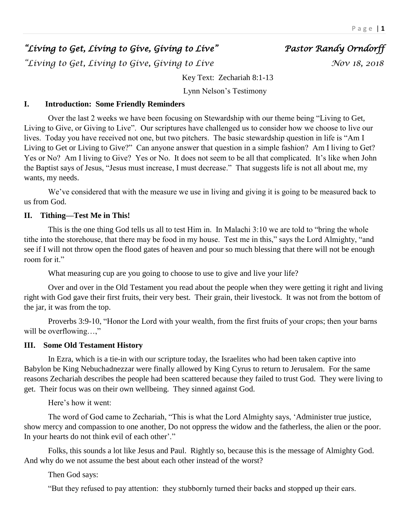# *"Living to Get, Living to Give, Giving to Live" Pastor Randy Orndorff*

*a Living to Get, Living to Give, Giving to Live* The Moving 18, 2018

Key Text: Zechariah 8:1-13

Lynn Nelson's Testimony

# **I. Introduction: Some Friendly Reminders**

Over the last 2 weeks we have been focusing on Stewardship with our theme being "Living to Get, Living to Give, or Giving to Live". Our scriptures have challenged us to consider how we choose to live our lives. Today you have received not one, but two pitchers. The basic stewardship question in life is "Am I Living to Get or Living to Give?" Can anyone answer that question in a simple fashion? Am I living to Get? Yes or No? Am I living to Give? Yes or No. It does not seem to be all that complicated. It's like when John the Baptist says of Jesus, "Jesus must increase, I must decrease." That suggests life is not all about me, my wants, my needs.

We've considered that with the measure we use in living and giving it is going to be measured back to us from God.

# **II. Tithing—Test Me in This!**

This is the one thing God tells us all to test Him in. In Malachi 3:10 we are told to "bring the whole tithe into the storehouse, that there may be food in my house. Test me in this," says the Lord Almighty, "and see if I will not throw open the flood gates of heaven and pour so much blessing that there will not be enough room for it."

What measuring cup are you going to choose to use to give and live your life?

Over and over in the Old Testament you read about the people when they were getting it right and living right with God gave their first fruits, their very best. Their grain, their livestock. It was not from the bottom of the jar, it was from the top.

Proverbs 3:9-10, "Honor the Lord with your wealth, from the first fruits of your crops; then your barns will be overflowing...,"

#### **III. Some Old Testament History**

In Ezra, which is a tie-in with our scripture today, the Israelites who had been taken captive into Babylon be King Nebuchadnezzar were finally allowed by King Cyrus to return to Jerusalem. For the same reasons Zechariah describes the people had been scattered because they failed to trust God. They were living to get. Their focus was on their own wellbeing. They sinned against God.

Here's how it went:

The word of God came to Zechariah, "This is what the Lord Almighty says, 'Administer true justice, show mercy and compassion to one another, Do not oppress the widow and the fatherless, the alien or the poor. In your hearts do not think evil of each other'."

Folks, this sounds a lot like Jesus and Paul. Rightly so, because this is the message of Almighty God. And why do we not assume the best about each other instead of the worst?

Then God says:

"But they refused to pay attention: they stubbornly turned their backs and stopped up their ears.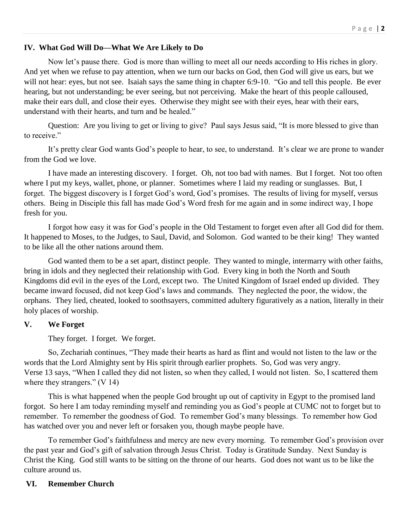# **IV. What God Will Do—What We Are Likely to Do**

Now let's pause there. God is more than willing to meet all our needs according to His riches in glory. And yet when we refuse to pay attention, when we turn our backs on God, then God will give us ears, but we will not hear: eyes, but not see. Isaiah says the same thing in chapter 6:9-10. "Go and tell this people. Be ever hearing, but not understanding; be ever seeing, but not perceiving. Make the heart of this people calloused, make their ears dull, and close their eyes. Otherwise they might see with their eyes, hear with their ears, understand with their hearts, and turn and be healed."

Question: Are you living to get or living to give? Paul says Jesus said, "It is more blessed to give than to receive."

It's pretty clear God wants God's people to hear, to see, to understand. It's clear we are prone to wander from the God we love.

I have made an interesting discovery. I forget. Oh, not too bad with names. But I forget. Not too often where I put my keys, wallet, phone, or planner. Sometimes where I laid my reading or sunglasses. But, I forget. The biggest discovery is I forget God's word, God's promises. The results of living for myself, versus others. Being in Disciple this fall has made God's Word fresh for me again and in some indirect way, I hope fresh for you.

I forgot how easy it was for God's people in the Old Testament to forget even after all God did for them. It happened to Moses, to the Judges, to Saul, David, and Solomon. God wanted to be their king! They wanted to be like all the other nations around them.

God wanted them to be a set apart, distinct people. They wanted to mingle, intermarry with other faiths, bring in idols and they neglected their relationship with God. Every king in both the North and South Kingdoms did evil in the eyes of the Lord, except two. The United Kingdom of Israel ended up divided. They became inward focused, did not keep God's laws and commands. They neglected the poor, the widow, the orphans. They lied, cheated, looked to soothsayers, committed adultery figuratively as a nation, literally in their holy places of worship.

# **V. We Forget**

They forget. I forget. We forget.

So, Zechariah continues, "They made their hearts as hard as flint and would not listen to the law or the words that the Lord Almighty sent by His spirit through earlier prophets. So, God was very angry. Verse 13 says, "When I called they did not listen, so when they called, I would not listen. So, I scattered them where they strangers." (V 14)

This is what happened when the people God brought up out of captivity in Egypt to the promised land forgot. So here I am today reminding myself and reminding you as God's people at CUMC not to forget but to remember. To remember the goodness of God. To remember God's many blessings. To remember how God has watched over you and never left or forsaken you, though maybe people have.

To remember God's faithfulness and mercy are new every morning. To remember God's provision over the past year and God's gift of salvation through Jesus Christ. Today is Gratitude Sunday. Next Sunday is Christ the King. God still wants to be sitting on the throne of our hearts. God does not want us to be like the culture around us.

# **VI. Remember Church**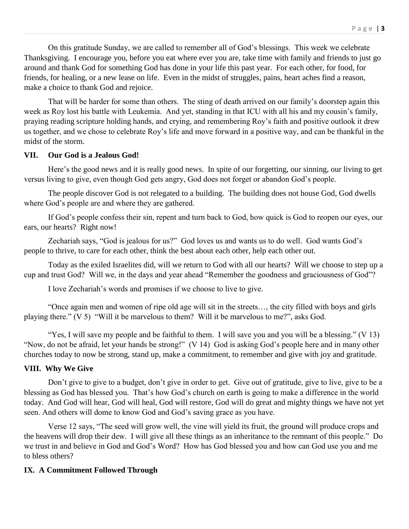On this gratitude Sunday, we are called to remember all of God's blessings. This week we celebrate Thanksgiving. I encourage you, before you eat where ever you are, take time with family and friends to just go around and thank God for something God has done in your life this past year. For each other, for food, for friends, for healing, or a new lease on life. Even in the midst of struggles, pains, heart aches find a reason, make a choice to thank God and rejoice.

That will be harder for some than others. The sting of death arrived on our family's doorstep again this week as Roy lost his battle with Leukemia. And yet, standing in that ICU with all his and my cousin's family, praying reading scripture holding hands, and crying, and remembering Roy's faith and positive outlook it drew us together, and we chose to celebrate Roy's life and move forward in a positive way, and can be thankful in the midst of the storm.

#### **VII. Our God is a Jealous God!**

Here's the good news and it is really good news. In spite of our forgetting, our sinning, our living to get versus living to give, even though God gets angry, God does not forget or abandon God's people.

The people discover God is not relegated to a building. The building does not house God, God dwells where God's people are and where they are gathered.

If God's people confess their sin, repent and turn back to God, how quick is God to reopen our eyes, our ears, our hearts? Right now!

Zechariah says, "God is jealous for us?" God loves us and wants us to do well. God wants God's people to thrive, to care for each other, think the best about each other, help each other out.

Today as the exiled Israelites did, will we return to God with all our hearts? Will we choose to step up a cup and trust God? Will we, in the days and year ahead "Remember the goodness and graciousness of God"?

I love Zechariah's words and promises if we choose to live to give.

"Once again men and women of ripe old age will sit in the streets…, the city filled with boys and girls playing there." (V 5) "Will it be marvelous to them? Will it be marvelous to me?", asks God.

"Yes, I will save my people and be faithful to them. I will save you and you will be a blessing." (V 13) "Now, do not be afraid, let your hands be strong!" (V 14) God is asking God's people here and in many other churches today to now be strong, stand up, make a commitment, to remember and give with joy and gratitude.

#### **VIII. Why We Give**

Don't give to give to a budget, don't give in order to get. Give out of gratitude, give to live, give to be a blessing as God has blessed you. That's how God's church on earth is going to make a difference in the world today. And God will hear, God will heal, God will restore, God will do great and mighty things we have not yet seen. And others will dome to know God and God's saving grace as you have.

Verse 12 says, "The seed will grow well, the vine will yield its fruit, the ground will produce crops and the heavens will drop their dew. I will give all these things as an inheritance to the remnant of this people." Do we trust in and believe in God and God's Word? How has God blessed you and how can God use you and me to bless others?

#### **IX. A Commitment Followed Through**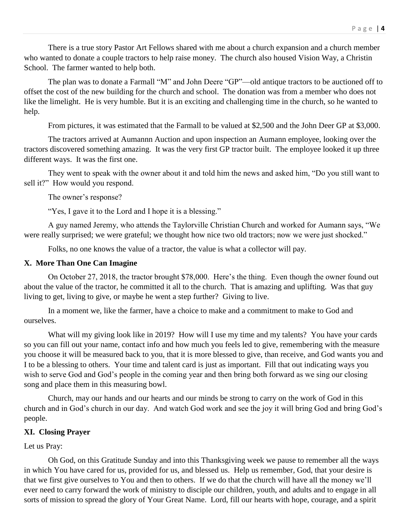There is a true story Pastor Art Fellows shared with me about a church expansion and a church member who wanted to donate a couple tractors to help raise money. The church also housed Vision Way, a Christin School. The farmer wanted to help both.

The plan was to donate a Farmall "M" and John Deere "GP"—old antique tractors to be auctioned off to offset the cost of the new building for the church and school. The donation was from a member who does not like the limelight. He is very humble. But it is an exciting and challenging time in the church, so he wanted to help.

From pictures, it was estimated that the Farmall to be valued at \$2,500 and the John Deer GP at \$3,000.

The tractors arrived at Aumannn Auction and upon inspection an Aumann employee, looking over the tractors discovered something amazing. It was the very first GP tractor built. The employee looked it up three different ways. It was the first one.

They went to speak with the owner about it and told him the news and asked him, "Do you still want to sell it?" How would you respond.

The owner's response?

"Yes, I gave it to the Lord and I hope it is a blessing."

A guy named Jeremy, who attends the Taylorville Christian Church and worked for Aumann says, "We were really surprised; we were grateful; we thought how nice two old tractors; now we were just shocked."

Folks, no one knows the value of a tractor, the value is what a collector will pay.

# **X. More Than One Can Imagine**

On October 27, 2018, the tractor brought \$78,000. Here's the thing. Even though the owner found out about the value of the tractor, he committed it all to the church. That is amazing and uplifting. Was that guy living to get, living to give, or maybe he went a step further? Giving to live.

In a moment we, like the farmer, have a choice to make and a commitment to make to God and ourselves.

What will my giving look like in 2019? How will I use my time and my talents? You have your cards so you can fill out your name, contact info and how much you feels led to give, remembering with the measure you choose it will be measured back to you, that it is more blessed to give, than receive, and God wants you and I to be a blessing to others. Your time and talent card is just as important. Fill that out indicating ways you wish to serve God and God's people in the coming year and then bring both forward as we sing our closing song and place them in this measuring bowl.

Church, may our hands and our hearts and our minds be strong to carry on the work of God in this church and in God's church in our day. And watch God work and see the joy it will bring God and bring God's people.

# **XI. Closing Prayer**

# Let us Pray:

Oh God, on this Gratitude Sunday and into this Thanksgiving week we pause to remember all the ways in which You have cared for us, provided for us, and blessed us. Help us remember, God, that your desire is that we first give ourselves to You and then to others. If we do that the church will have all the money we'll ever need to carry forward the work of ministry to disciple our children, youth, and adults and to engage in all sorts of mission to spread the glory of Your Great Name. Lord, fill our hearts with hope, courage, and a spirit